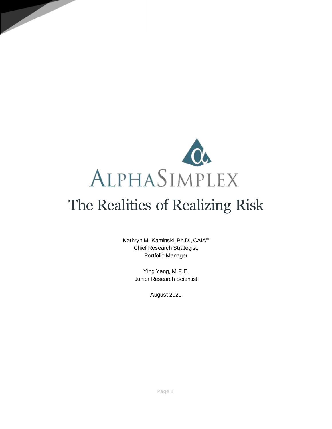

# The Realities of Realizing Risk

Kathryn M. Kaminski, Ph.D., CAIA® Chief Research Strategist, Portfolio Manager

> Ying Yang, M.F.E. Junior Research Scientist

> > August 2021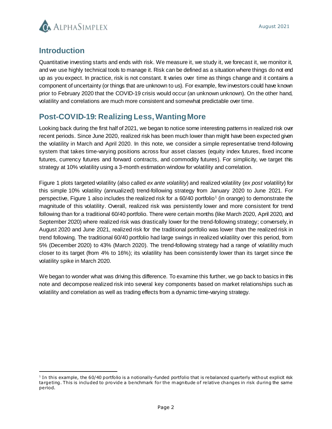

## **Introduction**

Quantitative investing starts and ends with risk. We measure it, we study it, we forecast it, we monitor it, and we use highly technical tools to manage it. Risk can be defined as a situation where things do not end up as you expect. In practice, risk is not constant. It varies over time as things change and it contains a component of uncertainty (or things that are unknown to us). For example, few investors could have known prior to February 2020 that the COVID-19 crisis would occur (an unknown unknown). On the other hand, volatility and correlations are much more consistent and somewhat predictable over time.

# **Post-COVID-19: Realizing Less, Wanting More**

Looking back during the first half of 2021, we began to notice some interesting patterns in realized risk over recent periods. Since June 2020, realized risk has been much lower than might have been expected given the volatility in March and April 2020. In this note, we consider a simple representative trend-following system that takes time-varying positions across four asset classes (equity index futures, fixed income futures, currency futures and forward contracts, and commodity futures). For simplicity, we target this strategy at 10% volatility using a 3-month estimation window for volatility and correlation.

Figure 1 plots targeted volatility (also called *ex ante volatility*) and realized volatility (*ex post volatility*) for this simple 10% volatility (annualized) trend-following strategy from January 2020 to June 2021. For perspective, Figure 1 also includes the realized risk for a 60/40 portfolio<sup>1</sup> (in orange) to demonstrate the magnitude of this volatility. Overall, realized risk was persistently lower and more consistent for trend following than for a traditional 60/40 portfolio. There were certain months (like March 2020, April 2020, and September 2020) where realized risk was drastically lower for the trend-following strategy; conversely, in August 2020 and June 2021, realized risk for the traditional portfolio was lower than the realized risk in trend following. The traditional 60/40 portfolio had large swings in realized volatility over this period, from 5% (December 2020) to 43% (March 2020). The trend-following strategy had a range of volatility much closer to its target (from 4% to 16%); its volatility has been consistently lower than its target since the volatility spike in March 2020.

We began to wonder what was driving this difference. To examine this further, we go back to basics in this note and decompose realized risk into several key components based on market relationships such as volatility and correlation as well as trading effects from a dynamic time-varying strategy.

l <sup>1</sup> In this example, the 60/40 portfolio is a notionally-funded portfolio that is rebalanced quarterly without explicit risk targeting. This is included to provide a benchmark for the magnitude of relative changes in risk during the same period.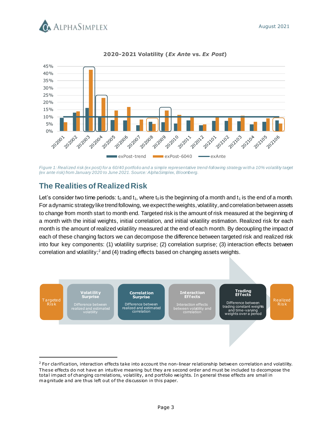



## **2020-2021 Volatility (***Ex Ante* **vs.** *Ex Post***)**

*Figure 1: Realized risk (ex post) for a 60/40 portfolio and a simple representative trend-following strategy with a 10% volatility target (ex ante risk) from January 2020 to June 2021.Source: AlphaSimplex, Bloomberg.* 

# **The Realities of RealizedRisk**

Let's consider two time periods:  $t_0$  and  $t_1$ , where  $t_0$  is the beginning of a month and  $t_1$  is the end of a month. For a dynamic strategy like trend following, we expect the weights, volatility, and correlation between assets to change from month start to month end. Targeted risk is the amount of risk measured at the beginning of a month with the initial weights, initial correlation, and initial volatility estimation. Realized risk for each month is the amount of realized volatility measured at the end of each month. By decoupling the impact of each of these changing factors we can decompose the difference between targeted risk and realized risk into four key components: (1) volatility surprise; (2) correlation surprise; (3) interaction effects between correlation and volatility; <sup>2</sup> and (4) trading effects based on changing assets weights.



 $2$  For clarification, interaction effects take into account the non-linear relationship between correlation and volatility. These effects do not have an intuitive meaning but they are second order and must be included to decompose the total im pact of changing correlations, volatility, and portfolio weights. In general these effects are small in m agnitude and are thus left out of the discussion in this paper.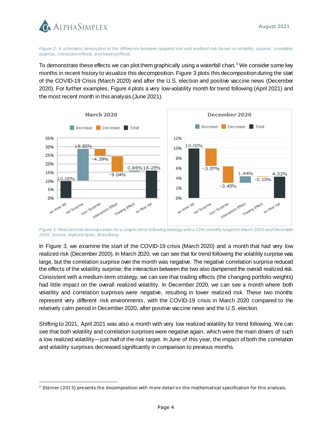

l

*Figure 2: A schematic description of the difference between targeted risk and realized risk based on volatility surprise, correlation surprise, interaction effects, and trading effects.* 

To demonstrate these effects we can plot them graphically using a waterfall chart.<sup>3</sup> We consider some key months in recent history to visualize this decomposition. Figure 3 plots this decomposition during the start of the COVID-19 Crisis (March 2020) and after the U.S. election and positive vaccine news (December 2020). For further examples, Figure 4 plots a very low-volatility month for trend following (April 2021) and the most recent month in this analysis (June 2021).



*Figure 3: Realized risk decomposition for a simple trend-following strategy with a 10% volatility target for March 2020 and December 2020. Source: AlphaSimplex, Bloomberg.*

In Figure 3, we examine the start of the COVID-19 crisis (March 2020) and a month that had very low realized risk (December 2020). In March 2020, we can see that for trend following the volatility surprise was large, but the correlation surprise over the month was negative. The negative correlation surprise reduced the effects of the volatility surprise; the interaction between the two also dampened the overall realized risk. Consistent with a medium-term strategy, we can see that trading effects (the changing portfolio weights) had little impact on the overall realized volatility. In December 2020, we can see a month where both volatility and correlation surprises were negative, resulting in lower realized risk. These two months represent very different risk environments, with the COVID-19 crisis in March 2020 compared to the relatively calm period in December 2020, after positive vaccine news and the U.S. election.

Shifting to 2021, April 2021 was also a month with very low realized volatility for trend following. We can see that both volatility and correlation surprises were negative again, which were the main drivers of such a low realized volatility—just half of the risk target. In June of this year, the impact of both the correlation and volatility surprises decreased significantly in comparison to previous months.

 $3$  Steiner (2013) presents the decomposition with m ore detail on the mathematical specification for this analysis.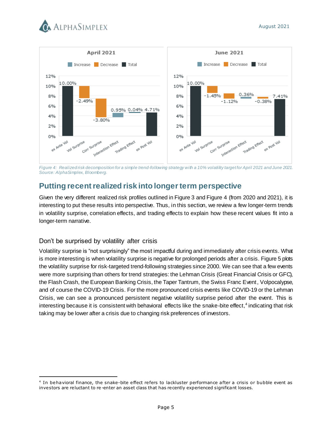



*Figure 4: Realized risk decomposition for a simple trend-following strategy with a 10% volatility target for April 2021 and June 2021. Source: AlphaSimplex, Bloomberg.*

# **Putting recent realized risk into longer term perspective**

Given the very different realized risk profiles outlined in Figure 3 and Figure 4 (from 2020 and 2021), it is interesting to put these results into perspective. Thus, in this section, we review a few longer-term trends in volatility surprise, correlation effects, and trading effects to explain how these recent values fit into a longer-term narrative.

## Don't be surprised by volatility after crisis

l

Volatility surprise is "not surprisingly" the most impactful during and immediately after crisis events. What is more interesting is when volatility surprise is negative for prolonged periods after a crisis. Figure 5 plots the volatility surprise for risk-targeted trend-following strategies since 2000. We can see that a few events were more surprising than others for trend strategies: the Lehman Crisis (Great Financial Crisis or GFC), the Flash Crash, the European Banking Crisis, the Taper Tantrum, the Swiss Franc Event, Volpocalypse, and of course the COVID-19 Crisis. For the more pronounced crisis events like COVID-19 or the Lehman Crisis, we can see a pronounced persistent negative volatility surprise period after the event. This is interesting because it is consistent with behavioral effects like the snake-bite effect,<sup>4</sup> indicating that risk taking may be lower after a crisis due to changing risk preferences of investors.

<sup>&</sup>lt;sup>4</sup> In behavioral finance, the snake-bite effect refers to lackluster performance after a crisis or bubble event as investors are reluctant to re-enter an asset class that has recently experienced significant losses.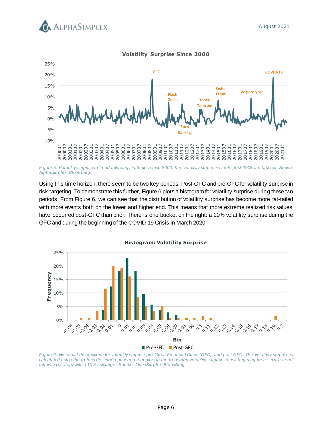



**Volatility Surprise Since 2000**

*Figure 5: Volatility surprise in trend-following strategies since 2000. Key volatility surprise events post 2008 are labeled. Source: AlphaSimplex, Bloomberg.* 

Using this time horizon, there seem to be two key periods: Post-GFC and pre-GFC for volatility surprise in risk targeting. To demonstrate this further, Figure 6 plots a histogram for volatility surprise during these two periods. From Figure 6, we can see that the distribution of volatility surprise has become more fat-tailed with more events both on the lower and higher end. This means that more extreme realized risk values have occurred post-GFC than prior. There is one bucket on the right: a 20% volatility surprise during the GFC and during the beginning of the COVID-19 Crisis in March 2020.



*Figure 6: Historical distributions for volatility surprise pre-Great Financial Crisis (GFC) and post-GFC. The volatility surprise is*  calculated using the metrics described prior and it applies to the measured volatility surprise in risk targeting for a simple trend*following strategy with a 10% risk target. Source: AlphaSimplex, Bloomberg.*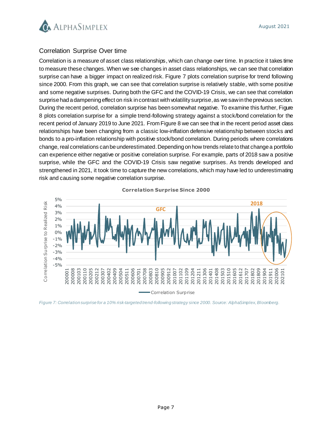

## Correlation Surprise Over time

Correlation is a measure of asset class relationships, which can change over time. In practice it takes time to measure these changes. When we see changes in asset class relationships, we can see that correlation surprise can have a bigger impact on realized risk. Figure 7 plots correlation surprise for trend following since 2000. From this graph, we can see that correlation surprise is relatively stable, with some positive and some negative surprises. During both the GFC and the COVID-19 Crisis, we can see that correlation surprise had a dampening effect on risk in contrast with volatility surprise, as we saw in the previous section. During the recent period, correlation surprise has been somewhat negative. To examine this further, Figure 8 plots correlation surprise for a simple trend-following strategy against a stock/bond correlation for the recent period of January 2019 to June 2021. From Figure 8 we can see that in the recent period asset class relationships have been changing from a classic low-inflation defensive relationship between stocks and bonds to a pro-inflation relationship with positive stock/bond correlation. During periods where correlations change, real correlations can be underestimated. Depending on how trends relate to that change a portfolio can experience either negative or positive correlation surprise. For example, parts of 2018 saw a positive surprise, while the GFC and the COVID-19 Crisis saw negative surprises. As trends developed and strengthened in 2021, it took time to capture the new correlations, which may have led to underestimating risk and causing some negative correlation surprise.



**Correlation Surprise Since 2000**

*Figure 7: Correlation surprise for a 10% risk-targeted trend-following strategy since 2000. Source: AlphaSimplex, Bloomberg.*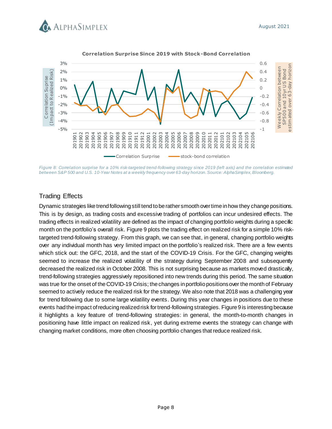



**Correlation Surprise Since 2019 with Stock-Bond Correlation**

*Figure 8: Correlation surprise for a 10% risk-targeted trend-following strategy since 2019 (left axis) and the correlation estimated between S&P 500 and U.S. 10-Year Notes at a weekly frequency over 63-day horizon.Source: AlphaSimplex,Bloomberg.*

## Trading Effects

Dynamic strategies like trend following still tend to be rather smooth over time in how they change positions. This is by design, as trading costs and excessive trading of portfolios can incur undesired effects. The trading effects in realized volatility are defined as the impact of changing portfolio weights during a specific month on the portfolio's overall risk. Figure 9 plots the trading effect on realized risk for a simple 10% risktargeted trend-following strategy. From this graph, we can see that, in general, changing portfolio weights over any individual month has very limited impact on the portfolio's realized risk. There are a few events which stick out: the GFC, 2018, and the start of the COVID-19 Crisis. For the GFC, changing weights seemed to increase the realized volatility of the strategy during September 2008 and subsequently decreased the realized risk in October 2008. This is not surprising because as markets moved drastically, trend-following strategies aggressively repositioned into new trends during this period. The same situation was true for the onset of the COVID-19 Crisis; the changes in portfolio positions over the month of February seemed to actively reduce the realized risk for the strategy. We also note that 2018 was a challenging year for trend following due to some large volatility events. During this year changes in positions due to these events had the impact of reducing realized risk for trend-following strategies. Figure 9 is interesting because it highlights a key feature of trend-following strategies: in general, the month-to-month changes in positioning have little impact on realized risk, yet during extreme events the strategy can change with changing market conditions, more often choosing portfolio changes that reduce realized risk.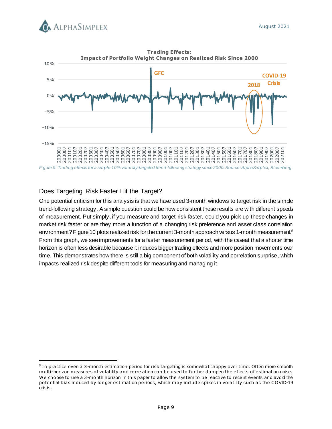



## Does Targeting Risk Faster Hit the Target?

l

One potential criticism for this analysis is that we have used 3-month windows to target risk in the simple trend-following strategy. A simple question could be how consistent these results are with different speeds of measurement. Put simply, if you measure and target risk faster, could you pick up these changes in market risk faster or are they more a function of a changing risk preference and asset class correlation environment? Figure 10 plots realized risk for the current 3-month approach versus 1-month measurement.<sup>5</sup> From this graph, we see improvements for a faster measurement period, with the caveat that a shorter time horizon is often less desirable because it induces bigger trading effects and more position movements over time. This demonstrates how there is still a big component of both volatility and correlation surprise, which impacts realized risk despite different tools for measuring and managing it.

<sup>&</sup>lt;sup>5</sup> In practice even a 3-month estimation period for risk targeting is somewhat choppy over time. Often more smooth multi-horizon measures of volatility and correlation can be used to further dampen the effects of estimation noise. We choose to use a 3-month horizon in this paper to allow the system to be reactive to recent events and avoid the potential bias induced by longer estimation periods, which may include spikes in volatility such as the COVID-19 crisis.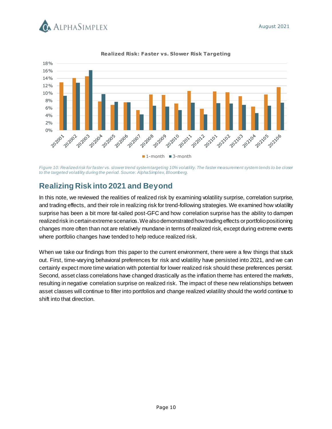



### **Realized Risk: Faster vs. Slower Risk Targeting**

*Figure 10: Realized risk for faster vs. slower trend system targeting 10% volatility.The faster measurement system tends to be closer to the targeted volatility during the period. Source: AlphaSimplex, Bloomberg.* 

# **Realizing Risk into 2021 and Beyond**

In this note, we reviewed the realities of realized risk by examining volatility surprise, correlation surprise, and trading effects, and their role in realizing risk for trend-following strategies. We examined how volatility surprise has been a bit more fat-tailed post-GFC and how correlation surprise has the ability to dampen realized risk in certain extreme scenarios. We also demonstrated how trading effects or portfolio positioning changes more often than not are relatively mundane in terms of realized risk, except during extreme events where portfolio changes have tended to help reduce realized risk.

When we take our findings from this paper to the current environment, there were a few things that stuck out. First, time-varying behavioral preferences for risk and volatility have persisted into 2021, and we can certainly expect more time variation with potential for lower realized risk should these preferences persist. Second, asset class correlations have changed drastically as the inflation theme has entered the markets, resulting in negative correlation surprise on realized risk. The impact of these new relationships between asset classes will continue to filter into portfolios and change realized volatility should the world continue to shift into that direction.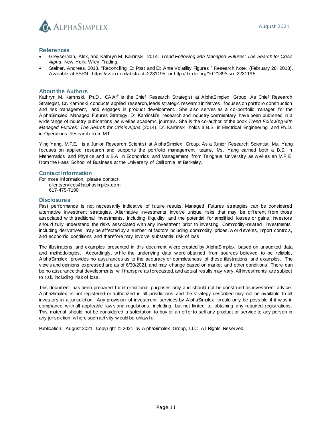

#### **References**

- Greyserman, Alex, and Kathryn M. Kaminski. 2014. *Trend Following with Managed Futures: The Search for Crisis Alpha*. New York: Wiley Trading.
- Steiner, Andreas. 2013. "Reconciling Ex Post and Ex Ante Volatility Figures." Research Note. (February 28, 2013). Available at SSRN: https://ssrn.com/abstract=2231195 or http://dx.doi.org/10.2139/ssrn.2231195.

#### **About the Authors**

Kathryn M. Kaminski, Ph.D., CAIA<sup>®</sup> is the Chief Research Strategist at AlphaSimplex Group. As Chief Research Strategist, Dr. Kaminski conducts applied research, leads strategic research initiatives, focuses on portfolio construction and risk management, and engages in product development. She also serves as a co-portfolio manager for the AlphaSimplex Managed Futures Strategy. Dr. Kaminski's research and industry commentary have been published in a w ide range of industry publications as w ell as academic journals. She is the co-author of the book *Trend Following with Managed Futures: The Search for Crisis Alpha* (2014). Dr. Kaminski holds a B.S. in Electrical Engineering and Ph.D. in Operations Research from MIT.

Ying Yang, M.F.E., is a Junior Research Scientist at AlphaSimplex Group. As a Junior Research Scientist, Ms. Yang focuses on applied research and supports the portfolio management teams. Ms. Yang earned both a B.S. in Mathematics and Physics and a B.A. in Economics and Management from Tsinghua University as w ell as an M.F.E. from the Haas School of Business at the University of California at Berkeley.

#### **Contact Information**

For more information, please contact: [clientservices@alphasimplex.com](mailto:clientservices@alphasimplex.com) 617-475-7100

#### **Disclosures**

Past performance is not necessarily indicative of future results. Managed Futures strategies can be considered alternative investment strategies. Alternative investments involve unique risks that may be different from those associated w ith traditional investments, including illiquidity and the potential for amplified losses or gains. Investors should fully understand the risks associated w ith any investment prior to investing. Commodity -related investments, including derivatives, may be affected by a number of factors including commodity prices, w orld events, import controls, and economic conditions and therefore may involve substantial risk of loss.

The illustrations and examples presented in this document w ere created by AlphaSimplex based on unaudited data and methodologies. Accordingly, w hile the underlying data w ere obtained from sources believed to be reliable, AlphaSimplex provides no assurances as to the accuracy or completeness of these illustrations and examples. The view s and opinions expressed are as of 6/30/2021 and may change based on market and other conditions. There can be no assurance that developments w ill transpire as forecasted, and actual results may vary. All investments are subject to risk, including risk of loss.

This document has been prepared for informational purposes only and should not be construed as investment advice. AlphaSimplex is not registered or authorized in all jurisdictions and the strategy described may not be available to all investors in a jurisdiction. Any provision of investment services by AlphaSimplex w ould only be possible if it w as in compliance w ith all applicable law s and regulations, including, but not limited to, obtaining any required registrations. This material should not be considered a solicitation to buy or an offer to sell any product or service to any person in any jurisdiction w here such activity w ould be unlaw ful.

Publication: August 2021. Copyright © 2021 by AlphaSimplex Group, LLC. All Rights Reserved.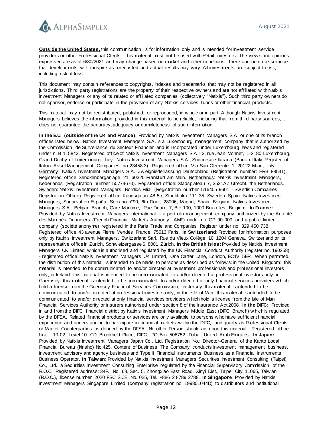

**Outside the United States,** this communication is for information only and is intended for investment service providers or other Professional Clients. This material must not be used w ith Retail Investors. The view s and opinions expressed are as of 6/30/2021 and may change based on market and other conditions. There can be no assurance that developments w ill transpire as forecasted, and actual results may vary. All investments are subject to risk, including risk of loss.

This document may contain references to copyrights, indexes and trademarks that may not be registered in all jurisdictions. Third party registrations are the property of their respective ow ners and are not affiliated w ith Natixis Investment Managers or any of its related or affiliated companies (collectively "Natixis"). Such third party ow ners do not sponsor, endorse or participate in the provision of any Natixis services, funds or other financial products.

This material may not be redistributed, published, or reproduced, in w hole or in part. Although Natixis Investment Managers believes the information provided in this material to be reliable, including that from third party sources, it does not guarantee the accuracy, adequacy or completeness of such information.

**In the E.U. (outside of the UK and France):** Provided by Natixis Investment Managers S.A. or one of its branch offices listed below . Natixis Investment Managers S.A. is a Luxembourg management company that is authorized by the Commission de Surveillance du Secteur Financier and is incorporated under Luxembourg law s and registered under n. B 115843. Registered office of Natixis Investment Managers S.A.: 2, rue Jean Monnet, L-2180 Luxembourg, Grand Duchy of Luxembourg. Italy: Natixis Investment Managers S.A., Succursale Italiana (Bank of Italy Register of Italian Asset Management Companies no 23458.3). Registered office: Via San Clemente 1, 20122 Milan, Italy. Germany: Natixis Investment Managers S.A., Zw eigniederlassung Deutschland (Registration number: HRB 88541). Registered office: Senckenberganlage 21, 60325 Frankfurt am Main. Netherlands: Natixis Investment Managers, Nederlands (Registration number 50774670). Registered office: Stadsplateau 7, 3521AZ Utrecht, the Netherlands. Sw eden: Natixis Investment Managers, Nordics Filial (Registration number 516405-9601 - Sw edish Companies Registration Office). Registered office: Kungsgatan 48 5tr, Stockholm 111 35, Sw eden. Spain: Natixis Investment Managers, Sucursal en España. Serrano n°90, 6th Floor, 28006, Madrid, Spain. Belgium: Natixis Investment Managers S.A., Belgian Branch, Gare Maritime, Rue Picard 7, Bte 100, 1000 Bruxelles, Belgium. **In France:** Provided by Natixis Investment Managers International – a portfolio management company authorized by the Autorité des Marchés Financiers (French Financial Markets Authority - AMF) under no. GP 90-009, and a public limited company (société anonyme) registered in the Paris Trade and Companies Register under no. 329 450 738. Registered office: 43 avenue Pierre Mendès France, 75013 Paris. **In Switzerland:**Provided for information purposes only by Natixis Investment Managers, Sw itzerland Sàrl, Rue du Vieux Collège 10, 1204 Geneva, Sw itzerland or its representative office in Zurich, Schw eizergasse 6, 8001 Zürich. **In the British Isles:**Provided by Natixis Investment Managers UK Limited w hich is authorised and regulated by the UK Financial Conduct Authority (register no. 190258) - registered office: Natixis Investment Managers UK Limited, One Carter Lane, London, EC4V 5ER. When permitted, the distribution of this material is intended to be made to persons as described as follow s: in the United Kingdom: this material is intended to be communicated to and/or directed at investment professionals and professional investors only; in Ireland: this material is intended to be communicated to and/or directed at professional investors only; in Guernsey: this material is intended to be communicated to and/or directed at only financial services providers w hich hold a license from the Guernsey Financial Services Commission; in Jersey: this material is intended to be communicated to and/or directed at professional investors only; in the Isle of Man: this material is intended to be communicated to and/or directed at only financial services providers w hich hold a license from the Isle of Man Financial Services Authority or insurers authorised under section 8 of the Insurance Act 2008. **In the DIFC:** Provided in and from the DIFC financial district by Natixis Investment Managers Middle East (DIFC Branch) w hich is regulated by the DFSA. Related financial products or services are only available to persons w ho have sufficient financial experience and understanding to participate in financial markets w ithin the DIFC, and qualify as Professional Clients or Market Counterparties as defined by the DFSA. No other Person should act upon this material. Registered office: Unit L10-02, Level 10 ,ICD Brookfield Place, DIFC, PO Box 506752, Dubai, United Arab Emirates . **In Japan:** Provided by Natixis Investment Managers Japan Co., Ltd. Registration No.: Director-General of the Kanto Local Financial Bureau (kinsho) No.425. Content of Business: The Company conducts investment management business, investment advisory and agency business and Type II Financial Instruments Business as a Financ ial Instruments Business Operator. **In Taiwan:** Provided by Natixis Investment Managers Securities Investment Consulting (Taipei) Co., Ltd., a Securities Investment Consulting Enterprise regulated by the Financial Supervisory Commission of the R.O.C. Registered address: 34F., No. 68, Sec. 5, Zhongxiao East Road, Xinyi Dist., Taipei City 11065, Taiw an (R.O.C.), license number 2020 FSC SICE No. 025, Tel. +886 2 8789 2788. **In Singapore:** Provided by Natixis Investment Managers Singapore Limited (company registration no. 199801044D) to distributors and institutional